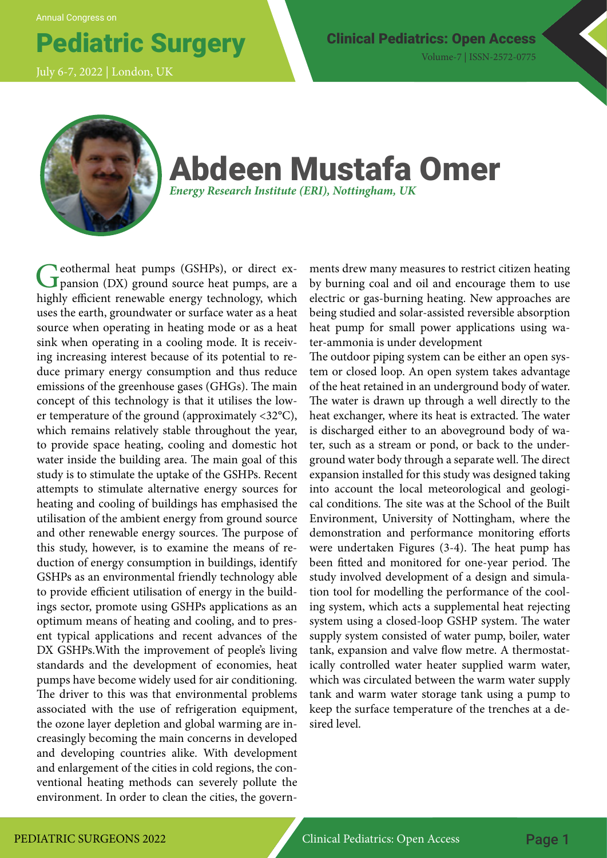Annual Congress on

July 6-7, 2022 | London, UK

Pediatric Surgery Clinical Pediatrics: Open Access Volume-7 | ISSN-2572-0775



## Abdeen Mustafa Omer *Energy Research Institute (ERI), Nottingham, UK*

Geothermal heat pumps (GSHPs), or direct expansion (DX) ground source heat pumps, are a highly efficient renewable energy technology, which uses the earth, groundwater or surface water as a heat source when operating in heating mode or as a heat sink when operating in a cooling mode. It is receiving increasing interest because of its potential to reduce primary energy consumption and thus reduce emissions of the greenhouse gases (GHGs). The main concept of this technology is that it utilises the lower temperature of the ground (approximately <32°C), which remains relatively stable throughout the year, to provide space heating, cooling and domestic hot water inside the building area. The main goal of this study is to stimulate the uptake of the GSHPs. Recent attempts to stimulate alternative energy sources for heating and cooling of buildings has emphasised the utilisation of the ambient energy from ground source and other renewable energy sources. The purpose of this study, however, is to examine the means of reduction of energy consumption in buildings, identify GSHPs as an environmental friendly technology able to provide efficient utilisation of energy in the buildings sector, promote using GSHPs applications as an optimum means of heating and cooling, and to present typical applications and recent advances of the DX GSHPs.With the improvement of people's living standards and the development of economies, heat pumps have become widely used for air conditioning. The driver to this was that environmental problems associated with the use of refrigeration equipment, the ozone layer depletion and global warming are increasingly becoming the main concerns in developed and developing countries alike. With development and enlargement of the cities in cold regions, the conventional heating methods can severely pollute the environment. In order to clean the cities, the govern-

ments drew many measures to restrict citizen heating by burning coal and oil and encourage them to use electric or gas-burning heating. New approaches are being studied and solar-assisted reversible absorption heat pump for small power applications using water-ammonia is under development

The outdoor piping system can be either an open system or closed loop. An open system takes advantage of the heat retained in an underground body of water. The water is drawn up through a well directly to the heat exchanger, where its heat is extracted. The water is discharged either to an aboveground body of water, such as a stream or pond, or back to the underground water body through a separate well. The direct expansion installed for this study was designed taking into account the local meteorological and geological conditions. The site was at the School of the Built Environment, University of Nottingham, where the demonstration and performance monitoring efforts were undertaken Figures (3-4). The heat pump has been fitted and monitored for one-year period. The study involved development of a design and simulation tool for modelling the performance of the cooling system, which acts a supplemental heat rejecting system using a closed-loop GSHP system. The water supply system consisted of water pump, boiler, water tank, expansion and valve flow metre. A thermostatically controlled water heater supplied warm water, which was circulated between the warm water supply tank and warm water storage tank using a pump to keep the surface temperature of the trenches at a desired level.